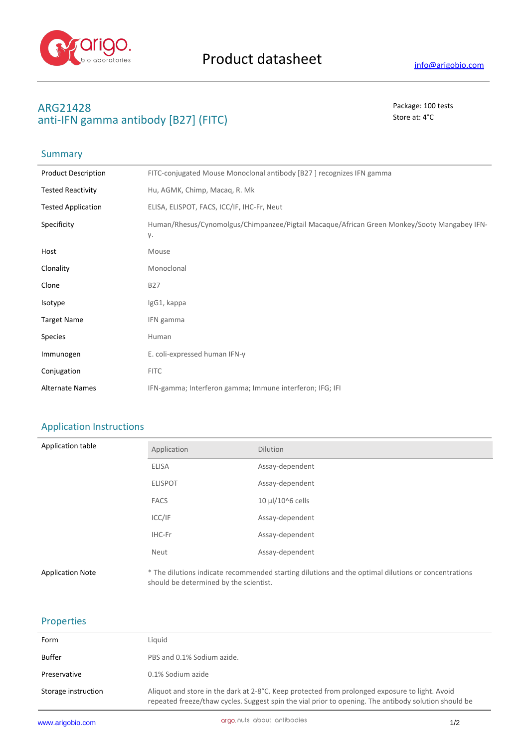

**Summary** 

# **ARG21428** Package: 100 tests anti-IFN gamma antibody [B27] (FITC) Store at: 4°C

| <b>Product Description</b> | FITC-conjugated Mouse Monoclonal antibody [B27] recognizes IFN gamma                              |
|----------------------------|---------------------------------------------------------------------------------------------------|
| <b>Tested Reactivity</b>   | Hu, AGMK, Chimp, Macag, R. Mk                                                                     |
| <b>Tested Application</b>  | ELISA, ELISPOT, FACS, ICC/IF, IHC-Fr, Neut                                                        |
| Specificity                | Human/Rhesus/Cynomolgus/Chimpanzee/Pigtail Macaque/African Green Monkey/Sooty Mangabey IFN-<br>γ. |
| Host                       | Mouse                                                                                             |
| Clonality                  | Monoclonal                                                                                        |
| Clone                      | <b>B27</b>                                                                                        |
| Isotype                    | IgG1, kappa                                                                                       |
| <b>Target Name</b>         | IFN gamma                                                                                         |
| Species                    | Human                                                                                             |
| Immunogen                  | E. coli-expressed human IFN-γ                                                                     |
| Conjugation                | <b>FITC</b>                                                                                       |
| <b>Alternate Names</b>     | IFN-gamma; Interferon gamma; Immune interferon; IFG; IFI                                          |

## Application Instructions

| Application table       | Application                            | <b>Dilution</b>                                                                                     |
|-------------------------|----------------------------------------|-----------------------------------------------------------------------------------------------------|
|                         | <b>ELISA</b>                           | Assay-dependent                                                                                     |
|                         | <b>ELISPOT</b>                         | Assay-dependent                                                                                     |
|                         | <b>FACS</b>                            | 10 µl/10^6 cells                                                                                    |
|                         | ICC/IF                                 | Assay-dependent                                                                                     |
|                         | IHC-Fr                                 | Assay-dependent                                                                                     |
|                         | Neut                                   | Assay-dependent                                                                                     |
| <b>Application Note</b> | should be determined by the scientist. | * The dilutions indicate recommended starting dilutions and the optimal dilutions or concentrations |

### Properties

| Form                | Liguid                                                                                                                                                                                                 |
|---------------------|--------------------------------------------------------------------------------------------------------------------------------------------------------------------------------------------------------|
| Buffer              | PBS and 0.1% Sodium azide.                                                                                                                                                                             |
| Preservative        | 0.1% Sodium azide                                                                                                                                                                                      |
| Storage instruction | Aliquot and store in the dark at 2-8°C. Keep protected from prolonged exposure to light. Avoid<br>repeated freeze/thaw cycles. Suggest spin the vial prior to opening. The antibody solution should be |
|                     |                                                                                                                                                                                                        |